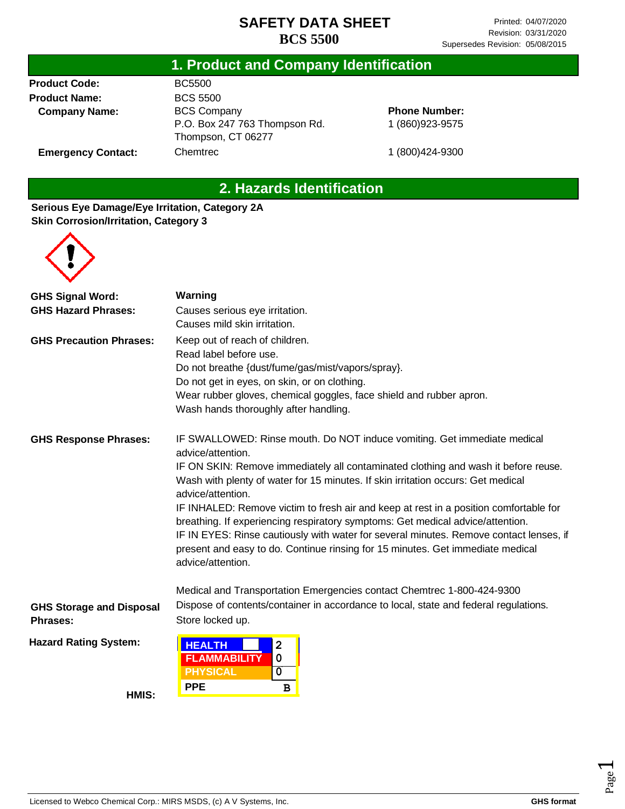#### **1. Product and Company Identification**

**Product Code: Product Name: Company Name:**

**Emergency Contact:**

BC5500 BCS 5500 BCS Company P.O. Box 247 763 Thompson Rd. Thompson, CT 06277 **Chemtrec** 

**Phone Number:** 1 (860)923-9575

1 (800)424-9300

# **2. Hazards Identification**

#### **Serious Eye Damage/Eye Irritation, Category 2A Skin Corrosion/Irritation, Category 3**



| <b>GHS Signal Word:</b>                                                                                                                                                                     | Warning                                                                                                                                                                                       |  |  |  |
|---------------------------------------------------------------------------------------------------------------------------------------------------------------------------------------------|-----------------------------------------------------------------------------------------------------------------------------------------------------------------------------------------------|--|--|--|
| <b>GHS Hazard Phrases:</b>                                                                                                                                                                  | Causes serious eye irritation.                                                                                                                                                                |  |  |  |
|                                                                                                                                                                                             | Causes mild skin irritation.                                                                                                                                                                  |  |  |  |
| <b>GHS Precaution Phrases:</b>                                                                                                                                                              | Keep out of reach of children.                                                                                                                                                                |  |  |  |
|                                                                                                                                                                                             | Read label before use.                                                                                                                                                                        |  |  |  |
|                                                                                                                                                                                             | Do not breathe {dust/fume/gas/mist/vapors/spray}.                                                                                                                                             |  |  |  |
|                                                                                                                                                                                             | Do not get in eyes, on skin, or on clothing.                                                                                                                                                  |  |  |  |
|                                                                                                                                                                                             | Wear rubber gloves, chemical goggles, face shield and rubber apron.                                                                                                                           |  |  |  |
|                                                                                                                                                                                             | Wash hands thoroughly after handling.                                                                                                                                                         |  |  |  |
| <b>GHS Response Phrases:</b><br>IF SWALLOWED: Rinse mouth. Do NOT induce vomiting. Get immediate medical<br>advice/attention.                                                               |                                                                                                                                                                                               |  |  |  |
| IF ON SKIN: Remove immediately all contaminated clothing and wash it before reuse.<br>Wash with plenty of water for 15 minutes. If skin irritation occurs: Get medical<br>advice/attention. |                                                                                                                                                                                               |  |  |  |
|                                                                                                                                                                                             | IF INHALED: Remove victim to fresh air and keep at rest in a position comfortable for<br>breathing. If experiencing respiratory symptoms: Get medical advice/attention.                       |  |  |  |
|                                                                                                                                                                                             | IF IN EYES: Rinse cautiously with water for several minutes. Remove contact lenses, if<br>present and easy to do. Continue rinsing for 15 minutes. Get immediate medical<br>advice/attention. |  |  |  |
|                                                                                                                                                                                             | Medical and Transportation Emergencies contact Chemtrec 1-800-424-9300                                                                                                                        |  |  |  |
| <b>GHS Storage and Disposal</b>                                                                                                                                                             | Dispose of contents/container in accordance to local, state and federal regulations.                                                                                                          |  |  |  |
| <b>Phrases:</b>                                                                                                                                                                             | Store locked up.                                                                                                                                                                              |  |  |  |
| <b>Hazard Rating System:</b>                                                                                                                                                                | <b>HEALTH</b><br>2<br>0<br><b>FLAMMABILITY</b>                                                                                                                                                |  |  |  |
|                                                                                                                                                                                             | <b>PHYSICAL</b><br>0                                                                                                                                                                          |  |  |  |
| HMIS:                                                                                                                                                                                       | <b>PPE</b><br>в                                                                                                                                                                               |  |  |  |

Page  $\overline{\phantom{0}}$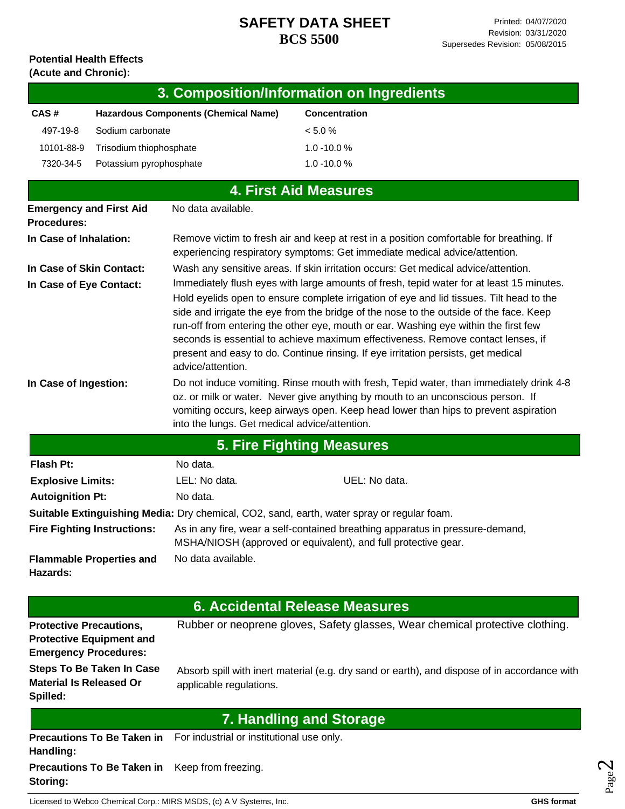#### **Potential Health Effects (Acute and Chronic):**

| 3. Composition/Information on Ingredients |                                      |                      |
|-------------------------------------------|--------------------------------------|----------------------|
| CAS#                                      | Hazardous Components (Chemical Name) | <b>Concentration</b> |
| 497-19-8                                  | Sodium carbonate                     | $< 5.0 \%$           |
| 10101-88-9                                | Trisodium thiophosphate              | $1.0 - 10.0 %$       |
| 7320-34-5                                 | Potassium pyrophosphate              | $1.0 - 10.0 %$       |

| <b>4. First Aid Measures</b>                         |                                               |                                                                                                                                                                                                                                                                                                                                                                                                                                                                                                                                                |
|------------------------------------------------------|-----------------------------------------------|------------------------------------------------------------------------------------------------------------------------------------------------------------------------------------------------------------------------------------------------------------------------------------------------------------------------------------------------------------------------------------------------------------------------------------------------------------------------------------------------------------------------------------------------|
| <b>Emergency and First Aid</b><br><b>Procedures:</b> | No data available.                            |                                                                                                                                                                                                                                                                                                                                                                                                                                                                                                                                                |
| In Case of Inhalation:                               |                                               | Remove victim to fresh air and keep at rest in a position comfortable for breathing. If<br>experiencing respiratory symptoms: Get immediate medical advice/attention.                                                                                                                                                                                                                                                                                                                                                                          |
| In Case of Skin Contact:                             |                                               | Wash any sensitive areas. If skin irritation occurs: Get medical advice/attention.                                                                                                                                                                                                                                                                                                                                                                                                                                                             |
| In Case of Eye Contact:                              | advice/attention.                             | Immediately flush eyes with large amounts of fresh, tepid water for at least 15 minutes.<br>Hold eyelids open to ensure complete irrigation of eye and lid tissues. Tilt head to the<br>side and irrigate the eye from the bridge of the nose to the outside of the face. Keep<br>run-off from entering the other eye, mouth or ear. Washing eye within the first few<br>seconds is essential to achieve maximum effectiveness. Remove contact lenses, if<br>present and easy to do. Continue rinsing. If eye irritation persists, get medical |
| In Case of Ingestion:                                | into the lungs. Get medical advice/attention. | Do not induce vomiting. Rinse mouth with fresh, Tepid water, than immediately drink 4-8<br>oz. or milk or water. Never give anything by mouth to an unconscious person. If<br>vomiting occurs, keep airways open. Keep head lower than hips to prevent aspiration                                                                                                                                                                                                                                                                              |
|                                                      |                                               | <b>5. Fire Fighting Measures</b>                                                                                                                                                                                                                                                                                                                                                                                                                                                                                                               |
| Flash Pt:                                            | No data.                                      |                                                                                                                                                                                                                                                                                                                                                                                                                                                                                                                                                |
| <b>Explosive Limits:</b>                             | LEL: No data.                                 | UEL: No data.                                                                                                                                                                                                                                                                                                                                                                                                                                                                                                                                  |

| <b>Explosive Limits:</b>                    | LEL: No data.                                                                                                                                   | UEL: No data. |  |
|---------------------------------------------|-------------------------------------------------------------------------------------------------------------------------------------------------|---------------|--|
| <b>Autoignition Pt:</b>                     | No data.                                                                                                                                        |               |  |
|                                             | Suitable Extinguishing Media: Dry chemical, CO2, sand, earth, water spray or regular foam.                                                      |               |  |
| <b>Fire Fighting Instructions:</b>          | As in any fire, wear a self-contained breathing apparatus in pressure-demand,<br>MSHA/NIOSH (approved or equivalent), and full protective gear. |               |  |
| <b>Flammable Properties and</b><br>Hazards: | No data available.                                                                                                                              |               |  |

**Protective Precautions, Protective Equipment and Emergency Procedures: Steps To Be Taken In Case Material Is Released Or Spilled:** Rubber or neoprene gloves, Safety glasses, Wear chemical protective clothing. Absorb spill with inert material (e.g. dry sand or earth), and dispose of in accordance with applicable regulations. **Precautions To Be Taken in**  For industrial or institutional use only. **Handling: Precautions To Be Taken in**  Keep from freezing. **6. Accidental Release Measures 7. Handling and Storage**

Licensed to Webco Chemical Corp.: MIRS MSDS, (c) A V Systems, Inc. **GHS** format **GHS** format

**Storing:**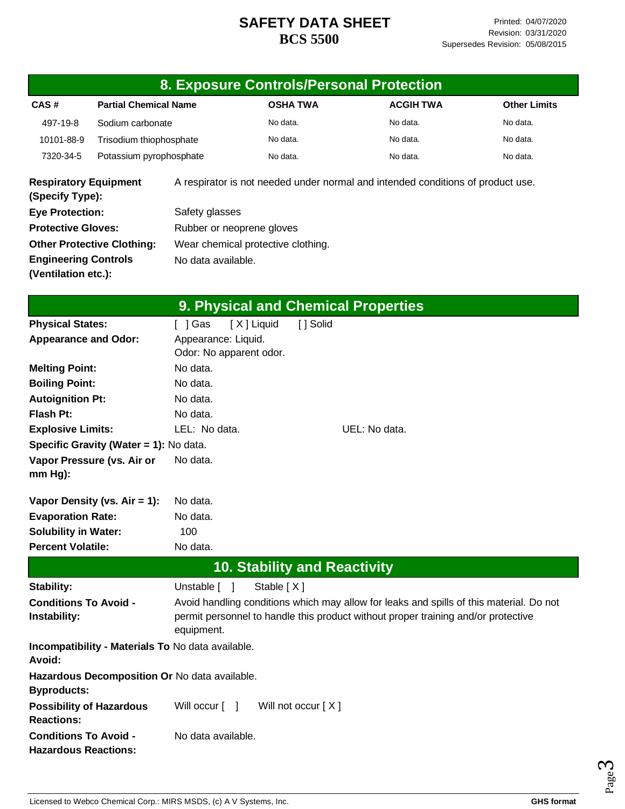|                                                      |                                                                                   |                                                   | 8. Exposure Controls/Personal Protection |                                                                                                                                                                              |                     |  |
|------------------------------------------------------|-----------------------------------------------------------------------------------|---------------------------------------------------|------------------------------------------|------------------------------------------------------------------------------------------------------------------------------------------------------------------------------|---------------------|--|
| CAS#                                                 | <b>Partial Chemical Name</b>                                                      |                                                   | <b>OSHA TWA</b>                          | <b>ACGIH TWA</b>                                                                                                                                                             | <b>Other Limits</b> |  |
| 497-19-8                                             | Sodium carbonate                                                                  |                                                   | No data.                                 | No data.                                                                                                                                                                     | No data.            |  |
| 10101-88-9                                           | Trisodium thiophosphate                                                           |                                                   | No data.                                 | No data.                                                                                                                                                                     | No data.            |  |
| 7320-34-5                                            | Potassium pyrophosphate                                                           |                                                   | No data.                                 | No data.                                                                                                                                                                     | No data.            |  |
| <b>Respiratory Equipment</b><br>(Specify Type):      |                                                                                   |                                                   |                                          | A respirator is not needed under normal and intended conditions of product use.                                                                                              |                     |  |
| <b>Eye Protection:</b>                               |                                                                                   | Safety glasses                                    |                                          |                                                                                                                                                                              |                     |  |
| <b>Protective Gloves:</b>                            |                                                                                   | Rubber or neoprene gloves                         |                                          |                                                                                                                                                                              |                     |  |
|                                                      | <b>Other Protective Clothing:</b>                                                 | Wear chemical protective clothing.                |                                          |                                                                                                                                                                              |                     |  |
| <b>Engineering Controls</b>                          |                                                                                   | No data available.                                |                                          |                                                                                                                                                                              |                     |  |
| (Ventilation etc.):                                  |                                                                                   |                                                   |                                          |                                                                                                                                                                              |                     |  |
|                                                      |                                                                                   |                                                   | 9. Physical and Chemical Properties      |                                                                                                                                                                              |                     |  |
| <b>Physical States:</b>                              |                                                                                   | [ ] Gas                                           | [X] Liquid<br>[ ] Solid                  |                                                                                                                                                                              |                     |  |
| <b>Appearance and Odor:</b>                          |                                                                                   | Appearance: Liquid.<br>Odor: No apparent odor.    |                                          |                                                                                                                                                                              |                     |  |
| <b>Melting Point:</b>                                |                                                                                   | No data.                                          |                                          |                                                                                                                                                                              |                     |  |
| <b>Boiling Point:</b>                                |                                                                                   | No data.                                          |                                          |                                                                                                                                                                              |                     |  |
| <b>Autoignition Pt:</b>                              |                                                                                   | No data.                                          |                                          |                                                                                                                                                                              |                     |  |
| <b>Flash Pt:</b><br>No data.                         |                                                                                   |                                                   |                                          |                                                                                                                                                                              |                     |  |
| <b>Explosive Limits:</b>                             |                                                                                   | LEL: No data.                                     |                                          | UEL: No data.                                                                                                                                                                |                     |  |
|                                                      | Specific Gravity (Water = 1): No data.                                            |                                                   |                                          |                                                                                                                                                                              |                     |  |
| mm Hg):                                              | Vapor Pressure (vs. Air or                                                        | No data.                                          |                                          |                                                                                                                                                                              |                     |  |
|                                                      | Vapor Density (vs. $Air = 1$ ):                                                   | No data.                                          |                                          |                                                                                                                                                                              |                     |  |
| <b>Evaporation Rate:</b>                             |                                                                                   | No data.                                          |                                          |                                                                                                                                                                              |                     |  |
| <b>Solubility in Water:</b>                          |                                                                                   | 100                                               |                                          |                                                                                                                                                                              |                     |  |
| <b>Percent Volatile:</b><br>No data.                 |                                                                                   |                                                   |                                          |                                                                                                                                                                              |                     |  |
|                                                      |                                                                                   |                                                   | <b>10. Stability and Reactivity</b>      |                                                                                                                                                                              |                     |  |
| Stability:                                           |                                                                                   | Unstable [ ]                                      | Stable [X]                               |                                                                                                                                                                              |                     |  |
| <b>Conditions To Avoid -</b><br>Instability:         |                                                                                   | equipment.                                        |                                          | Avoid handling conditions which may allow for leaks and spills of this material. Do not<br>permit personnel to handle this product without proper training and/or protective |                     |  |
| <b>Avoid:</b>                                        |                                                                                   | Incompatibility - Materials To No data available. |                                          |                                                                                                                                                                              |                     |  |
| <b>Byproducts:</b>                                   |                                                                                   | Hazardous Decomposition Or No data available.     |                                          |                                                                                                                                                                              |                     |  |
| <b>Possibility of Hazardous</b><br><b>Reactions:</b> |                                                                                   | Will occur [ ]                                    | Will not occur [X]                       |                                                                                                                                                                              |                     |  |
|                                                      | No data available.<br><b>Conditions To Avoid -</b><br><b>Hazardous Reactions:</b> |                                                   |                                          |                                                                                                                                                                              |                     |  |

Page ო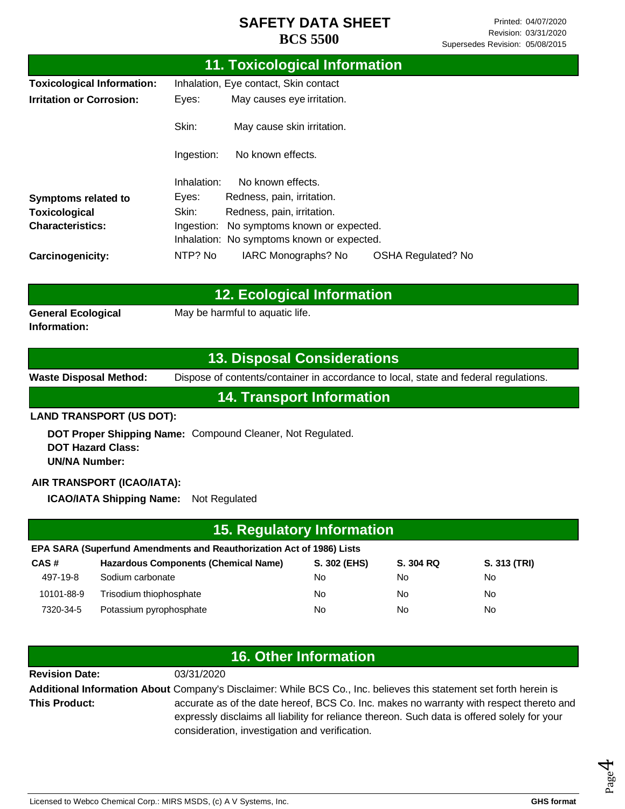| 11. Toxicological Information                                           |                                       |                                            |                           |
|-------------------------------------------------------------------------|---------------------------------------|--------------------------------------------|---------------------------|
| <b>Toxicological Information:</b>                                       | Inhalation, Eye contact, Skin contact |                                            |                           |
| <b>Irritation or Corrosion:</b>                                         | Eyes:                                 | May causes eye irritation.                 |                           |
|                                                                         | Skin:                                 | May cause skin irritation.                 |                           |
|                                                                         | Ingestion:                            | No known effects.                          |                           |
|                                                                         | Inhalation:                           | No known effects.                          |                           |
| <b>Symptoms related to</b>                                              | Eyes:                                 | Redness, pain, irritation.                 |                           |
| <b>Toxicological</b>                                                    | Skin:                                 | Redness, pain, irritation.                 |                           |
| <b>Characteristics:</b><br>No symptoms known or expected.<br>Ingestion: |                                       |                                            |                           |
|                                                                         |                                       | Inhalation: No symptoms known or expected. |                           |
| <b>Carcinogenicity:</b>                                                 | NTP? No                               | IARC Monographs? No                        | <b>OSHA Regulated? No</b> |

|                           | 12. Ecological Information      |
|---------------------------|---------------------------------|
| <b>General Ecological</b> | May be harmful to aquatic life. |
| Information:              |                                 |

### **13. Disposal Considerations**

**Waste Disposal Method:** Dispose of contents/container in accordance to local, state and federal regulations.

**14. Transport Information**

#### **LAND TRANSPORT (US DOT):**

**DOT Proper Shipping Name:**  Compound Cleaner, Not Regulated. **DOT Hazard Class: UN/NA Number:**

#### **AIR TRANSPORT (ICAO/IATA):**

**ICAO/IATA Shipping Name:** Not Regulated

| 15. Regulatory Information                                            |                                             |              |           |              |  |
|-----------------------------------------------------------------------|---------------------------------------------|--------------|-----------|--------------|--|
| EPA SARA (Superfund Amendments and Reauthorization Act of 1986) Lists |                                             |              |           |              |  |
| CAS#                                                                  | <b>Hazardous Components (Chemical Name)</b> | S. 302 (EHS) | S. 304 RQ | S. 313 (TRI) |  |
| 497-19-8                                                              | Sodium carbonate                            | No.          | No.       | No           |  |
| 10101-88-9                                                            | Trisodium thiophosphate                     | No.          | No.       | No           |  |
| 7320-34-5                                                             | Potassium pyrophosphate                     | No           | No.       | No           |  |

| <b>16. Other Information</b>                                                                                       |                                                                                         |  |
|--------------------------------------------------------------------------------------------------------------------|-----------------------------------------------------------------------------------------|--|
| <b>Revision Date:</b>                                                                                              | 03/31/2020                                                                              |  |
| Additional Information About Company's Disclaimer: While BCS Co., Inc. believes this statement set forth herein is |                                                                                         |  |
| <b>This Product:</b>                                                                                               | accurate as of the date hereof, BCS Co. Inc. makes no warranty with respect thereto and |  |
| expressly disclaims all liability for reliance thereon. Such data is offered solely for your                       |                                                                                         |  |
| consideration, investigation and verification.                                                                     |                                                                                         |  |